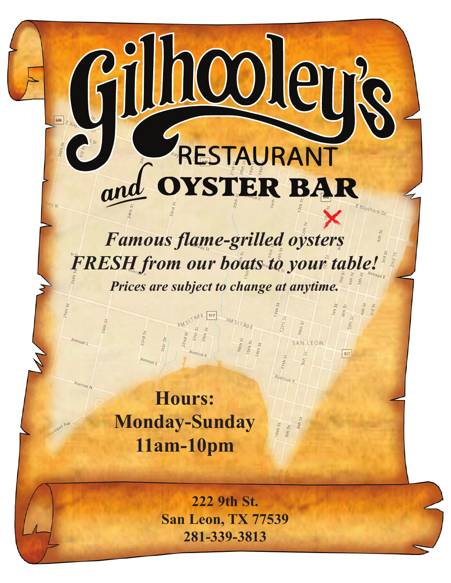# RESTAURANT OYSTER BAR

646

illioolen

*Famous flame-grilled oysters FRESH from our boats to your table! Prices are subject to change at anytime.*

SAN LEON

Avenue k

517

**Hours: Monday-Sunday 11am-10pm**

> **222 9th St. San Leon, TX 77539 281-339-3813**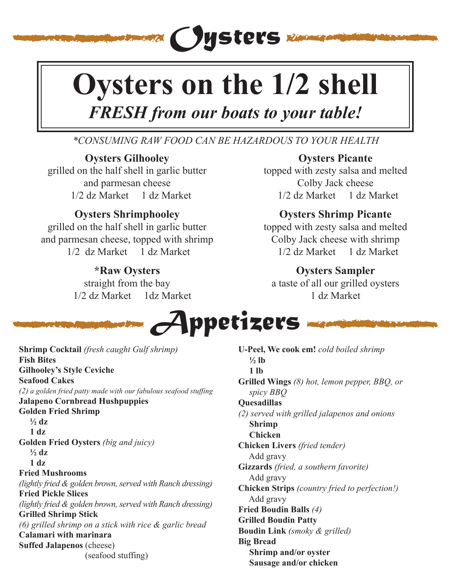# **Oysters on the 1/2 shell**

*Oysters*

## *FRESH from our boats to your table!*

### *\*CONSUMING RAW FOOD CAN BE HAZARDOUS TO YOUR HEALTH*

#### **Oysters Gilhooley**

grilled on the half shell in garlic butter and parmesan cheese 1/2 dz Market 1 dz Market

#### **Oysters Shrimphooley**

grilled on the half shell in garlic butter and parmesan cheese, topped with shrimp 1/2 dz Market 1 dz Market

#### **\*Raw Oysters**

straight from the bay 1/2 dz Market 1dz Market

#### **Oysters Picante**

topped with zesty salsa and melted Colby Jack cheese 1/2 dz Market 1 dz Market

### **Oysters Shrimp Picante**

topped with zesty salsa and melted Colby Jack cheese with shrimp 1/2 dz Market 1 dz Market

#### **Oysters Sampler**

a taste of all our grilled oysters 1 dz Market

*Appetizers*

**Shrimp Cocktail** *(fresh caught Gulf shrimp)* **Fish Bites Gilhooley's Style Ceviche Seafood Cakes** *(2) a golden fried patty made with our fabulous seafood stuffing* **Jalapeno Cornbread Hushpuppies Golden Fried Shrimp**  $\frac{1}{2}$  dz  **1 dz Golden Fried Oysters** *(big and juicy)*  $\frac{1}{2}$  dz  **1 dz Fried Mushrooms**  *(lightly fried & golden brown, served with Ranch dressing)* **Fried Pickle Slices** *(lightly fried & golden brown, served with Ranch dressing)* **Grilled Shrimp Stick** *(6) grilled shrimp on a stick with rice & garlic bread* **Calamari with marinara Suffed Jalapenos** (cheese) (seafood stuffing)

**U-Peel, We cook em!** *cold boiled shrimp*  $\frac{1}{2}$  lb  **1 lb Grilled Wings** *(8) hot, lemon pepper, BBQ, or spicy BBQ* **Quesadillas** *(2) served with grilled jalapenos and onions*   **Shrimp Chicken Chicken Livers** *(fried tender)*  Add gravy **Gizzards** *(fried, a southern favorite)* Add gravy **Chicken Strips** *(country fried to perfection!)*  Add gravy **Fried Boudin Balls** *(4)* **Grilled Boudin Patty Boudin Link** *(smoky & grilled)* **Big Bread Shrimp and/or oyster Sausage and/or chicken**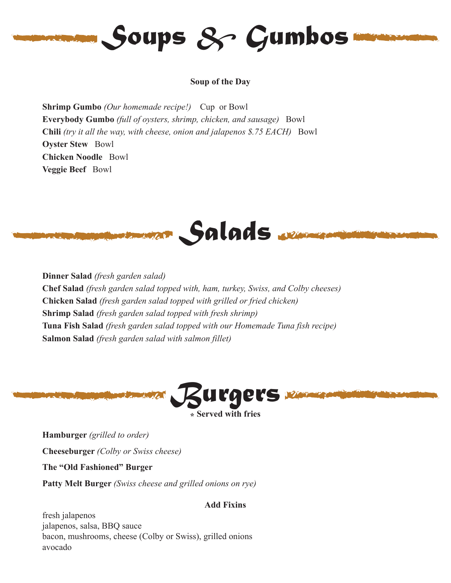

#### **Soup of the Day**

**Shrimp Gumbo** *(Our homemade recipe!)* Cup or Bowl **Everybody Gumbo** *(full of oysters, shrimp, chicken, and sausage)* Bowl **Chili** *(try it all the way, with cheese, onion and jalapenos \$.75 EACH)* Bowl **Oyster Stew** Bowl **Chicken Noodle** Bowl **Veggie Beef** Bowl



**Dinner Salad** *(fresh garden salad)* **Chef Salad** *(fresh garden salad topped with, ham, turkey, Swiss, and Colby cheeses)* **Chicken Salad** *(fresh garden salad topped with grilled or fried chicken)* **Shrimp Salad** *(fresh garden salad topped with fresh shrimp)* **Tuna Fish Salad** *(fresh garden salad topped with our Homemade Tuna fish recipe)* **Salmon Salad** *(fresh garden salad with salmon fillet)*



**Hamburger** *(grilled to order)* **Cheeseburger** *(Colby or Swiss cheese)* **The "Old Fashioned" Burger Patty Melt Burger** *(Swiss cheese and grilled onions on rye)*

#### **Add Fixins**

fresh jalapenos jalapenos, salsa, BBQ sauce bacon, mushrooms, cheese (Colby or Swiss), grilled onions avocado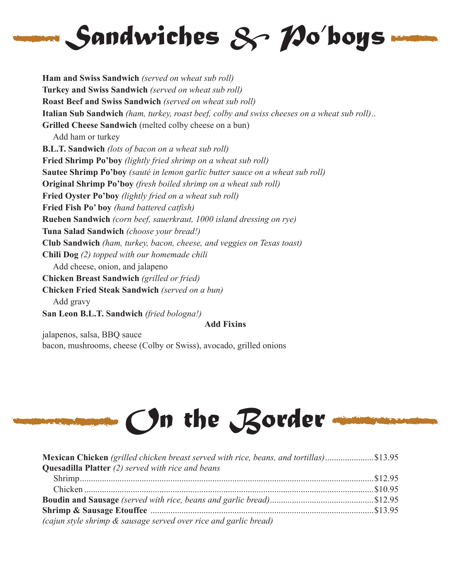

**Ham and Swiss Sandwich** *(served on wheat sub roll)* **Turkey and Swiss Sandwich** *(served on wheat sub roll)* **Roast Beef and Swiss Sandwich** *(served on wheat sub roll)* **Italian Sub Sandwich** *(ham, turkey, roast beef, colby and swiss cheeses on a wheat sub roll)*.. **Grilled Cheese Sandwich** (melted colby cheese on a bun) Add ham or turkey **B.L.T. Sandwich** *(lots of bacon on a wheat sub roll)* **Fried Shrimp Po'boy** *(lightly fried shrimp on a wheat sub roll)* **Sautee Shrimp Po'boy** *(sauté in lemon garlic butter sauce on a wheat sub roll)* **Original Shrimp Po'boy** *(fresh boiled shrimp on a wheat sub roll)* **Fried Oyster Po'boy** *(lightly fried on a wheat sub roll)* **Fried Fish Po' boy** *(hand battered catfish)* **Rueben Sandwich** *(corn beef, sauerkraut, 1000 island dressing on rye)* **Tuna Salad Sandwich** *(choose your bread!)* **Club Sandwich** *(ham, turkey, bacon, cheese, and veggies on Texas toast)* **Chili Dog** *(2) topped with our homemade chili* Add cheese, onion, and jalapeno **Chicken Breast Sandwich** *(grilled or fried)* **Chicken Fried Steak Sandwich** *(served on a bun)* Add gravy **San Leon B.L.T. Sandwich** *(fried bologna!)* **Add Fixins**

jalapenos, salsa, BBQ sauce bacon, mushrooms, cheese (Colby or Swiss), avocado, grilled onions

# *On the Border*

| <b>Mexican Chicken</b> (grilled chicken breast served with rice, beans, and tortillas)\$13.95 |  |
|-----------------------------------------------------------------------------------------------|--|
| <b>Quesadilla Platter</b> $(2)$ served with rice and beans                                    |  |
|                                                                                               |  |
|                                                                                               |  |
|                                                                                               |  |
|                                                                                               |  |
| (cajun style shrimp & sausage served over rice and garlic bread)                              |  |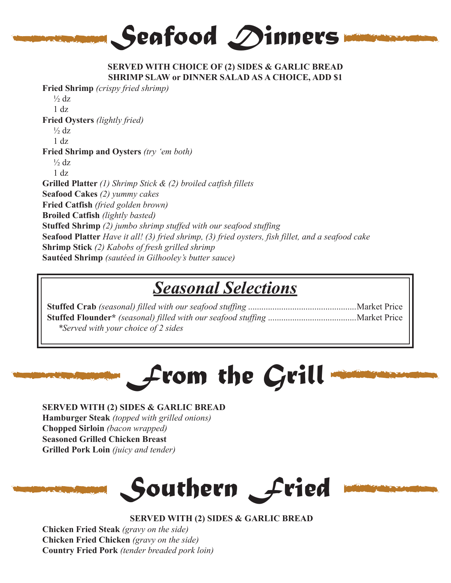

#### **SERVED WITH CHOICE OF (2) SIDES & GARLIC BREAD SHRIMP SLAW or DINNER SALAD AS A CHOICE, ADD \$1**

**Fried Shrimp** *(crispy fried shrimp)*  $\frac{1}{2}$  dz 1 dz **Fried Oysters** *(lightly fried)*  $\frac{1}{2}$  dz  $1$  dz **Fried Shrimp and Oysters** *(try 'em both)*  $\frac{1}{2}$  dz 1 dz **Grilled Platter** *(1) Shrimp Stick & (2) broiled catfish fillets* **Seafood Cakes** *(2) yummy cakes* **Fried Catfish** *(fried golden brown)* **Broiled Catfish** *(lightly basted)* **Stuffed Shrimp** *(2) jumbo shrimp stuffed with our seafood stuffing* **Seafood Platter** *Have it all! (3) fried shrimp, (3) fried oysters, fish fillet, and a seafood cake* **Shrimp Stick** *(2) Kabobs of fresh grilled shrimp* **Sautéed Shrimp** *(sautéed in Gilhooley's butter sauce)*

## *Seasonal Selections*

| *Served with your choice of 2 sides |  |
|-------------------------------------|--|

# *From the Grill*

**SERVED WITH (2) SIDES & GARLIC BREAD Hamburger Steak** *(topped with grilled onions)* **Chopped Sirloin** *(bacon wrapped)* **Seasoned Grilled Chicken Breast Grilled Pork Loin** *(juicy and tender)* 





**Chicken Fried Steak** *(gravy on the side)* **Chicken Fried Chicken** *(gravy on the side)* **Country Fried Pork** *(tender breaded pork loin)*